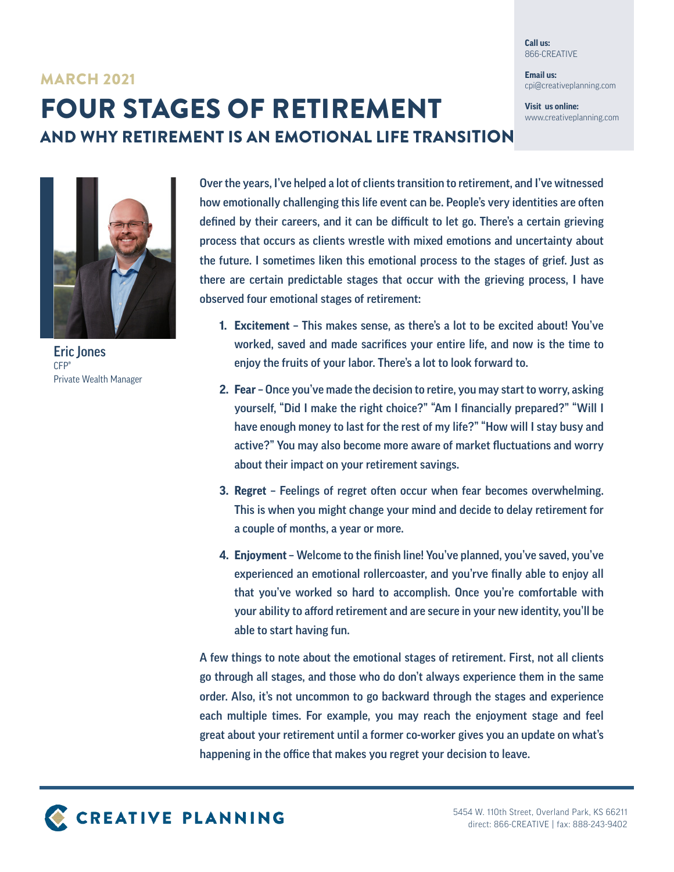**Call us:** 866-CREATIVE

**Email us:** cpi@creativeplanning.com

**Visit us online:** www.creativeplanning.com

## FOUR STAGES OF RETIREMENT MARCH 2021 AND WHY RETIREMENT IS AN EMOTIONAL LIFE TRANSITION



Eric Jones CFP® Private Wealth Manager

Over the years, I've helped a lot of clients transition to retirement, and I've witnessed how emotionally challenging this life event can be. People's very identities are often defined by their careers, and it can be difficult to let go. There's a certain grieving process that occurs as clients wrestle with mixed emotions and uncertainty about the future. I sometimes liken this emotional process to the stages of grief. Just as there are certain predictable stages that occur with the grieving process, I have observed four emotional stages of retirement:

- **1. Excitement** This makes sense, as there's a lot to be excited about! You've worked, saved and made sacrifices your entire life, and now is the time to enjoy the fruits of your labor. There's a lot to look forward to.
- **2. Fear** Once you've made the decision to retire, you may start to worry, asking yourself, "Did I make the right choice?" "Am I financially prepared?" "Will I have enough money to last for the rest of my life?" "How will I stay busy and active?" You may also become more aware of market fluctuations and worry about their impact on your retirement savings.
- **3. Regret** Feelings of regret often occur when fear becomes overwhelming. This is when you might change your mind and decide to delay retirement for a couple of months, a year or more.
- **4. Enjoyment**  Welcome to the finish line! You've planned, you've saved, you've experienced an emotional rollercoaster, and you'rve finally able to enjoy all that you've worked so hard to accomplish. Once you're comfortable with your ability to afford retirement and are secure in your new identity, you'll be able to start having fun.

A few things to note about the emotional stages of retirement. First, not all clients go through all stages, and those who do don't always experience them in the same order. Also, it's not uncommon to go backward through the stages and experience each multiple times. For example, you may reach the enjoyment stage and feel great about your retirement until a former co-worker gives you an update on what's happening in the office that makes you regret your decision to leave.

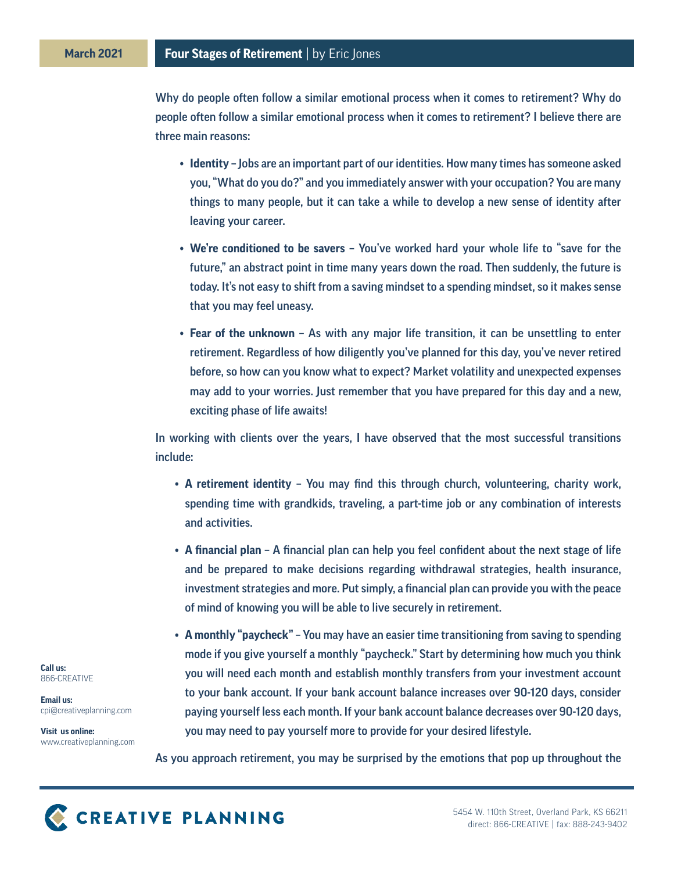Why do people often follow a similar emotional process when it comes to retirement? Why do people often follow a similar emotional process when it comes to retirement? I believe there are three main reasons:

- **• Identity** Jobs are an important part of our identities. How many times has someone asked you, "What do you do?" and you immediately answer with your occupation? You are many things to many people, but it can take a while to develop a new sense of identity after leaving your career.
- **• We're conditioned to be savers** You've worked hard your whole life to "save for the future," an abstract point in time many years down the road. Then suddenly, the future is today. It's not easy to shift from a saving mindset to a spending mindset, so it makes sense that you may feel uneasy.
- **• Fear of the unknown** As with any major life transition, it can be unsettling to enter retirement. Regardless of how diligently you've planned for this day, you've never retired before, so how can you know what to expect? Market volatility and unexpected expenses may add to your worries. Just remember that you have prepared for this day and a new, exciting phase of life awaits!

In working with clients over the years, I have observed that the most successful transitions include:

- **• A retirement identity** You may find this through church, volunteering, charity work, spending time with grandkids, traveling, a part-time job or any combination of interests and activities.
- **• A financial plan**  A financial plan can help you feel confident about the next stage of life and be prepared to make decisions regarding withdrawal strategies, health insurance, investment strategies and more. Put simply, a financial plan can provide you with the peace of mind of knowing you will be able to live securely in retirement.
- **• A monthly "paycheck"**  You may have an easier time transitioning from saving to spending mode if you give yourself a monthly "paycheck." Start by determining how much you think you will need each month and establish monthly transfers from your investment account to your bank account. If your bank account balance increases over 90-120 days, consider paying yourself less each month. If your bank account balance decreases over 90-120 days, you may need to pay yourself more to provide for your desired lifestyle.

**Call us:** 866-CREATIVE

**Email us:** cpi@creativeplanning.com

**Visit us online:** www.creativeplanning.com

As you approach retirement, you may be surprised by the emotions that pop up throughout the